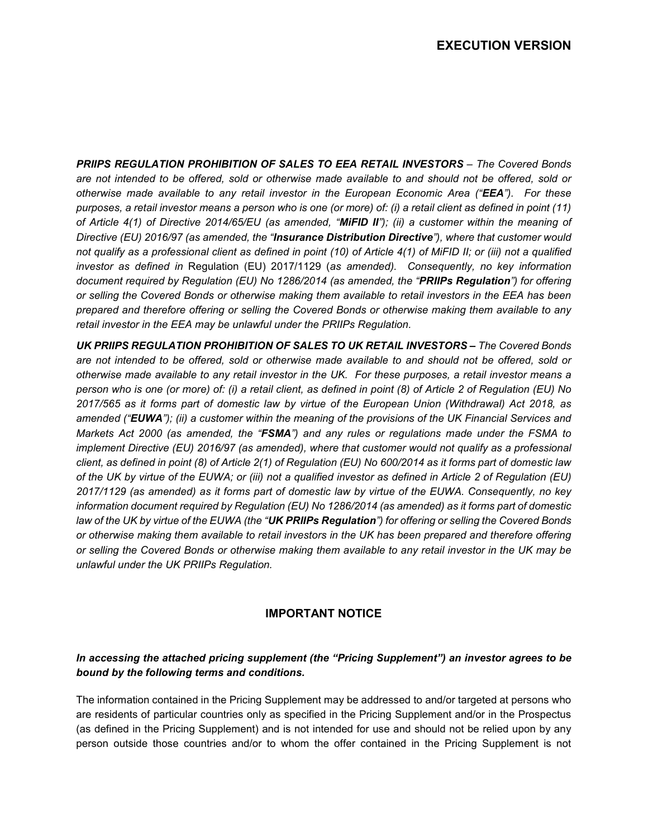**PRIIPS REGULATION PROHIBITION OF SALES TO EEA RETAIL INVESTORS - The Covered Bonds** *are not intended to be offered, sold or otherwise made available to and should not be offered, sold or otherwise made available to any retail investor in the European Economic Area ("EEA"). For these purposes, a retail investor means a person who is one (or more) of: (i) a retail client as defined in point (11) of Article 4(1) of Directive 2014/65/EU (as amended, "MiFID II"); (ii) a customer within the meaning of Directive (EU) 2016/97 (as amended, the "Insurance Distribution Directive"), where that customer would not qualify as a professional client as defined in point (10) of Article 4(1) of MiFID II; or (iii) not a qualified investor as defined in* Regulation (EU) 2017/1129 (*as amended). Consequently, no key information document required by Regulation (EU) No 1286/2014 (as amended, the "PRIIPs Regulation") for offering or selling the Covered Bonds or otherwise making them available to retail investors in the EEA has been prepared and therefore offering or selling the Covered Bonds or otherwise making them available to any retail investor in the EEA may be unlawful under the PRIIPs Regulation.* 

*UK PRIIPS REGULATION PROHIBITION OF SALES TO UK RETAIL INVESTORS – The Covered Bonds are not intended to be offered, sold or otherwise made available to and should not be offered, sold or otherwise made available to any retail investor in the UK. For these purposes, a retail investor means a person who is one (or more) of: (i) a retail client, as defined in point (8) of Article 2 of Regulation (EU) No 2017/565 as it forms part of domestic law by virtue of the European Union (Withdrawal) Act 2018, as amended ("EUWA"); (ii) a customer within the meaning of the provisions of the UK Financial Services and Markets Act 2000 (as amended, the "FSMA") and any rules or regulations made under the FSMA to implement Directive (EU) 2016/97 (as amended), where that customer would not qualify as a professional client, as defined in point (8) of Article 2(1) of Regulation (EU) No 600/2014 as it forms part of domestic law of the UK by virtue of the EUWA; or (iii) not a qualified investor as defined in Article 2 of Regulation (EU) 2017/1129 (as amended) as it forms part of domestic law by virtue of the EUWA. Consequently, no key information document required by Regulation (EU) No 1286/2014 (as amended) as it forms part of domestic law of the UK by virtue of the EUWA (the "UK PRIIPs Regulation") for offering or selling the Covered Bonds or otherwise making them available to retail investors in the UK has been prepared and therefore offering or selling the Covered Bonds or otherwise making them available to any retail investor in the UK may be unlawful under the UK PRIIPs Regulation.*

# **IMPORTANT NOTICE**

# *In accessing the attached pricing supplement (the "Pricing Supplement") an investor agrees to be bound by the following terms and conditions.*

The information contained in the Pricing Supplement may be addressed to and/or targeted at persons who are residents of particular countries only as specified in the Pricing Supplement and/or in the Prospectus (as defined in the Pricing Supplement) and is not intended for use and should not be relied upon by any person outside those countries and/or to whom the offer contained in the Pricing Supplement is not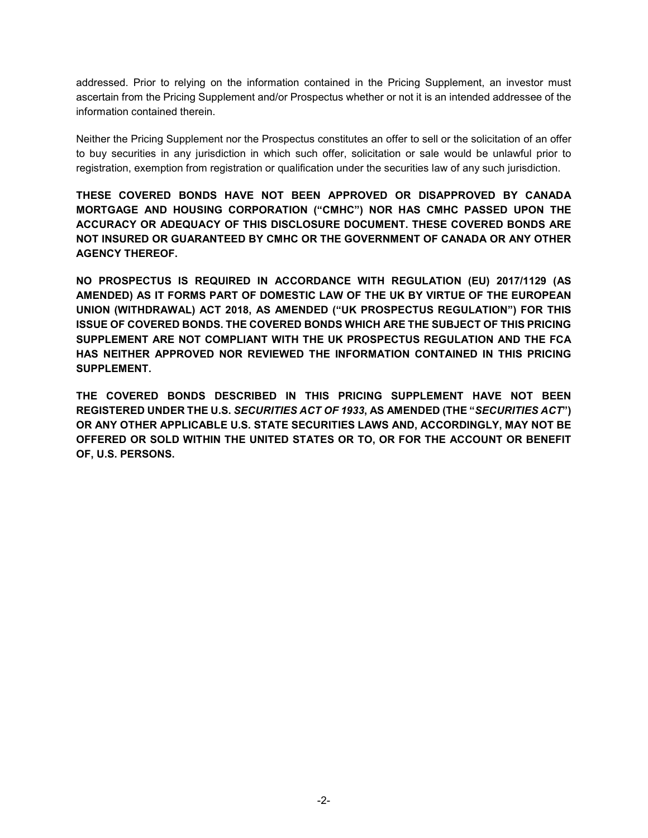addressed. Prior to relying on the information contained in the Pricing Supplement, an investor must ascertain from the Pricing Supplement and/or Prospectus whether or not it is an intended addressee of the information contained therein.

Neither the Pricing Supplement nor the Prospectus constitutes an offer to sell or the solicitation of an offer to buy securities in any jurisdiction in which such offer, solicitation or sale would be unlawful prior to registration, exemption from registration or qualification under the securities law of any such jurisdiction.

**THESE COVERED BONDS HAVE NOT BEEN APPROVED OR DISAPPROVED BY CANADA MORTGAGE AND HOUSING CORPORATION ("CMHC") NOR HAS CMHC PASSED UPON THE ACCURACY OR ADEQUACY OF THIS DISCLOSURE DOCUMENT. THESE COVERED BONDS ARE NOT INSURED OR GUARANTEED BY CMHC OR THE GOVERNMENT OF CANADA OR ANY OTHER AGENCY THEREOF.** 

**NO PROSPECTUS IS REQUIRED IN ACCORDANCE WITH REGULATION (EU) 2017/1129 (AS AMENDED) AS IT FORMS PART OF DOMESTIC LAW OF THE UK BY VIRTUE OF THE EUROPEAN UNION (WITHDRAWAL) ACT 2018, AS AMENDED ("UK PROSPECTUS REGULATION") FOR THIS ISSUE OF COVERED BONDS. THE COVERED BONDS WHICH ARE THE SUBJECT OF THIS PRICING SUPPLEMENT ARE NOT COMPLIANT WITH THE UK PROSPECTUS REGULATION AND THE FCA HAS NEITHER APPROVED NOR REVIEWED THE INFORMATION CONTAINED IN THIS PRICING SUPPLEMENT.** 

**THE COVERED BONDS DESCRIBED IN THIS PRICING SUPPLEMENT HAVE NOT BEEN REGISTERED UNDER THE U.S.** *SECURITIES ACT OF 1933***, AS AMENDED (THE "***SECURITIES ACT***") OR ANY OTHER APPLICABLE U.S. STATE SECURITIES LAWS AND, ACCORDINGLY, MAY NOT BE OFFERED OR SOLD WITHIN THE UNITED STATES OR TO, OR FOR THE ACCOUNT OR BENEFIT OF, U.S. PERSONS.**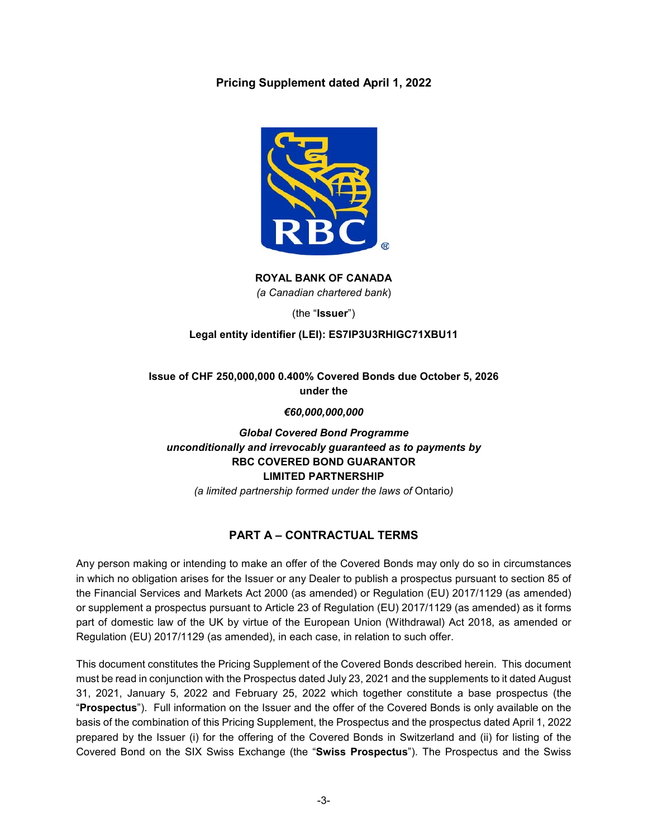**Pricing Supplement dated April 1, 2022** 



**ROYAL BANK OF CANADA**  *(a Canadian chartered bank*)

(the "**Issuer**")

# **Legal entity identifier (LEI): ES7IP3U3RHIGC71XBU11**

# **Issue of CHF 250,000,000 0.400% Covered Bonds due October 5, 2026 under the**

*€60,000,000,000* 

# *Global Covered Bond Programme unconditionally and irrevocably guaranteed as to payments by*  **RBC COVERED BOND GUARANTOR LIMITED PARTNERSHIP**

*(a limited partnership formed under the laws of* Ontario*)* 

# **PART A – CONTRACTUAL TERMS**

Any person making or intending to make an offer of the Covered Bonds may only do so in circumstances in which no obligation arises for the Issuer or any Dealer to publish a prospectus pursuant to section 85 of the Financial Services and Markets Act 2000 (as amended) or Regulation (EU) 2017/1129 (as amended) or supplement a prospectus pursuant to Article 23 of Regulation (EU) 2017/1129 (as amended) as it forms part of domestic law of the UK by virtue of the European Union (Withdrawal) Act 2018, as amended or Regulation (EU) 2017/1129 (as amended), in each case, in relation to such offer.

This document constitutes the Pricing Supplement of the Covered Bonds described herein. This document must be read in conjunction with the Prospectus dated July 23, 2021 and the supplements to it dated August 31, 2021, January 5, 2022 and February 25, 2022 which together constitute a base prospectus (the "**Prospectus**"). Full information on the Issuer and the offer of the Covered Bonds is only available on the basis of the combination of this Pricing Supplement, the Prospectus and the prospectus dated April 1, 2022 prepared by the Issuer (i) for the offering of the Covered Bonds in Switzerland and (ii) for listing of the Covered Bond on the SIX Swiss Exchange (the "**Swiss Prospectus**"). The Prospectus and the Swiss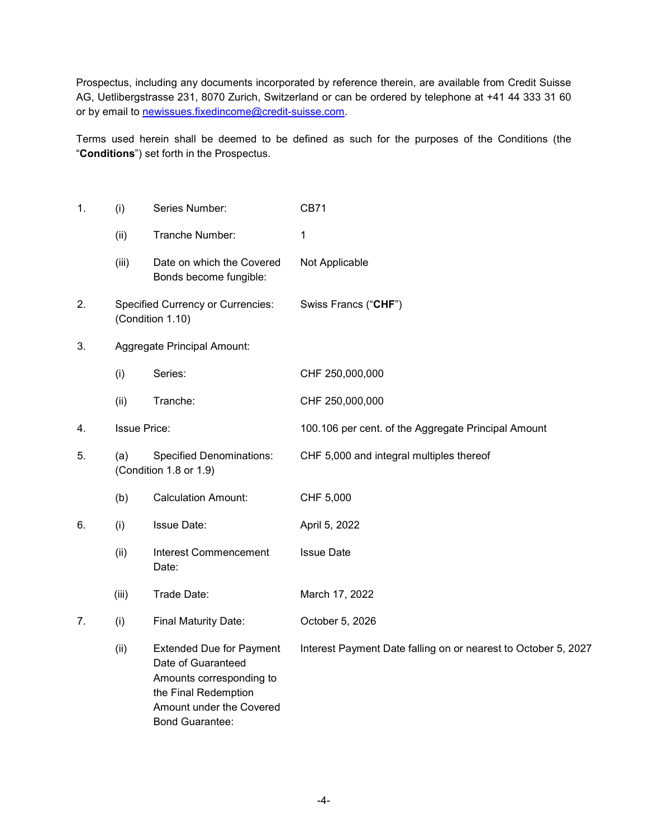Prospectus, including any documents incorporated by reference therein, are available from Credit Suisse AG, Uetlibergstrasse 231, 8070 Zurich, Switzerland or can be ordered by telephone at +41 44 333 31 60 or by email to newissues.fixedincome@credit-suisse.com.

Terms used herein shall be deemed to be defined as such for the purposes of the Conditions (the "**Conditions**") set forth in the Prospectus.

| 1. | (i)                 | Series Number:                                                                                                                                                  | <b>CB71</b>                                                    |
|----|---------------------|-----------------------------------------------------------------------------------------------------------------------------------------------------------------|----------------------------------------------------------------|
|    | (ii)                | Tranche Number:                                                                                                                                                 | 1                                                              |
|    | (iii)               | Date on which the Covered<br>Bonds become fungible:                                                                                                             | Not Applicable                                                 |
| 2. |                     | <b>Specified Currency or Currencies:</b><br>(Condition 1.10)                                                                                                    | Swiss Francs ("CHF")                                           |
| 3. |                     | Aggregate Principal Amount:                                                                                                                                     |                                                                |
|    | (i)                 | Series:                                                                                                                                                         | CHF 250,000,000                                                |
|    | (ii)                | Tranche:                                                                                                                                                        | CHF 250,000,000                                                |
| 4. | <b>Issue Price:</b> |                                                                                                                                                                 | 100.106 per cent. of the Aggregate Principal Amount            |
| 5. | (a)                 | <b>Specified Denominations:</b><br>(Condition 1.8 or 1.9)                                                                                                       | CHF 5,000 and integral multiples thereof                       |
|    | (b)                 | <b>Calculation Amount:</b>                                                                                                                                      | CHF 5,000                                                      |
| 6. | (i)                 | <b>Issue Date:</b>                                                                                                                                              | April 5, 2022                                                  |
|    | (ii)                | <b>Interest Commencement</b><br>Date:                                                                                                                           | <b>Issue Date</b>                                              |
|    | (iii)               | Trade Date:                                                                                                                                                     | March 17, 2022                                                 |
| 7. | (i)                 | Final Maturity Date:                                                                                                                                            | October 5, 2026                                                |
|    | (ii)                | <b>Extended Due for Payment</b><br>Date of Guaranteed<br>Amounts corresponding to<br>the Final Redemption<br>Amount under the Covered<br><b>Bond Guarantee:</b> | Interest Payment Date falling on or nearest to October 5, 2027 |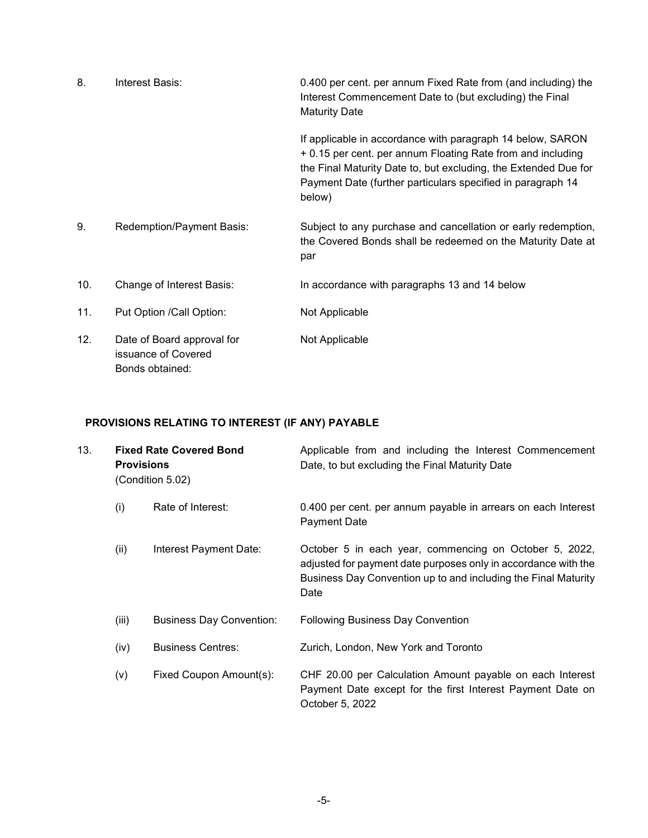| 8.  | Interest Basis:                                                      | 0.400 per cent. per annum Fixed Rate from (and including) the<br>Interest Commencement Date to (but excluding) the Final<br><b>Maturity Date</b>                                                                                                                      |
|-----|----------------------------------------------------------------------|-----------------------------------------------------------------------------------------------------------------------------------------------------------------------------------------------------------------------------------------------------------------------|
|     |                                                                      | If applicable in accordance with paragraph 14 below, SARON<br>+ 0.15 per cent. per annum Floating Rate from and including<br>the Final Maturity Date to, but excluding, the Extended Due for<br>Payment Date (further particulars specified in paragraph 14<br>below) |
| 9.  | Redemption/Payment Basis:                                            | Subject to any purchase and cancellation or early redemption,<br>the Covered Bonds shall be redeemed on the Maturity Date at<br>par                                                                                                                                   |
| 10. | Change of Interest Basis:                                            | In accordance with paragraphs 13 and 14 below                                                                                                                                                                                                                         |
| 11. | Put Option / Call Option:                                            | Not Applicable                                                                                                                                                                                                                                                        |
| 12. | Date of Board approval for<br>issuance of Covered<br>Bonds obtained: | Not Applicable                                                                                                                                                                                                                                                        |

# **PROVISIONS RELATING TO INTEREST (IF ANY) PAYABLE**

| 13. | <b>Fixed Rate Covered Bond</b><br><b>Provisions</b><br>(Condition 5.02) |                                 | Applicable from and including the Interest Commencement<br>Date, to but excluding the Final Maturity Date                                                                                          |
|-----|-------------------------------------------------------------------------|---------------------------------|----------------------------------------------------------------------------------------------------------------------------------------------------------------------------------------------------|
|     | (i)                                                                     | Rate of Interest:               | 0.400 per cent. per annum payable in arrears on each Interest<br>Payment Date                                                                                                                      |
|     | (ii)                                                                    | Interest Payment Date:          | October 5 in each year, commencing on October 5, 2022,<br>adjusted for payment date purposes only in accordance with the<br>Business Day Convention up to and including the Final Maturity<br>Date |
|     | (iii)                                                                   | <b>Business Day Convention:</b> | <b>Following Business Day Convention</b>                                                                                                                                                           |
|     | (iv)                                                                    | <b>Business Centres:</b>        | Zurich, London, New York and Toronto                                                                                                                                                               |
|     | (v)                                                                     | Fixed Coupon Amount(s):         | CHF 20.00 per Calculation Amount payable on each Interest<br>Payment Date except for the first Interest Payment Date on<br>October 5, 2022                                                         |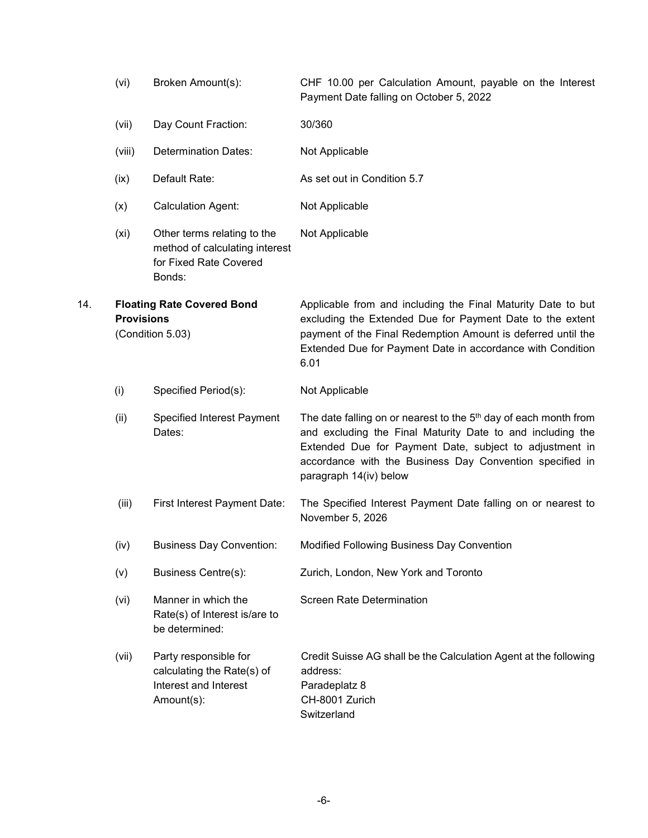|     | (vi)              | Broken Amount(s):                                                                                 | CHF 10.00 per Calculation Amount, payable on the Interest<br>Payment Date falling on October 5, 2022                                                                                                                                                                                        |
|-----|-------------------|---------------------------------------------------------------------------------------------------|---------------------------------------------------------------------------------------------------------------------------------------------------------------------------------------------------------------------------------------------------------------------------------------------|
|     | (vii)             | Day Count Fraction:                                                                               | 30/360                                                                                                                                                                                                                                                                                      |
|     | (viii)            | <b>Determination Dates:</b>                                                                       | Not Applicable                                                                                                                                                                                                                                                                              |
|     | (ix)              | Default Rate:                                                                                     | As set out in Condition 5.7                                                                                                                                                                                                                                                                 |
|     | (x)               | <b>Calculation Agent:</b>                                                                         | Not Applicable                                                                                                                                                                                                                                                                              |
|     | (x <sub>i</sub> ) | Other terms relating to the<br>method of calculating interest<br>for Fixed Rate Covered<br>Bonds: | Not Applicable                                                                                                                                                                                                                                                                              |
| 14. | <b>Provisions</b> | <b>Floating Rate Covered Bond</b><br>(Condition 5.03)                                             | Applicable from and including the Final Maturity Date to but<br>excluding the Extended Due for Payment Date to the extent<br>payment of the Final Redemption Amount is deferred until the<br>Extended Due for Payment Date in accordance with Condition<br>6.01                             |
|     | (i)               | Specified Period(s):                                                                              | Not Applicable                                                                                                                                                                                                                                                                              |
|     | (ii)              | Specified Interest Payment<br>Dates:                                                              | The date falling on or nearest to the 5 <sup>th</sup> day of each month from<br>and excluding the Final Maturity Date to and including the<br>Extended Due for Payment Date, subject to adjustment in<br>accordance with the Business Day Convention specified in<br>paragraph 14(iv) below |
|     | (iii)             | First Interest Payment Date:                                                                      | The Specified Interest Payment Date falling on or nearest to<br>November 5, 2026                                                                                                                                                                                                            |
|     | (iv)              | <b>Business Day Convention:</b>                                                                   | Modified Following Business Day Convention                                                                                                                                                                                                                                                  |
|     | (v)               | <b>Business Centre(s):</b>                                                                        | Zurich, London, New York and Toronto                                                                                                                                                                                                                                                        |
|     | (vi)              | Manner in which the<br>Rate(s) of Interest is/are to<br>be determined:                            | <b>Screen Rate Determination</b>                                                                                                                                                                                                                                                            |
|     | (vii)             | Party responsible for<br>calculating the Rate(s) of<br>Interest and Interest<br>Amount(s):        | Credit Suisse AG shall be the Calculation Agent at the following<br>address:<br>Paradeplatz 8<br>CH-8001 Zurich<br>Switzerland                                                                                                                                                              |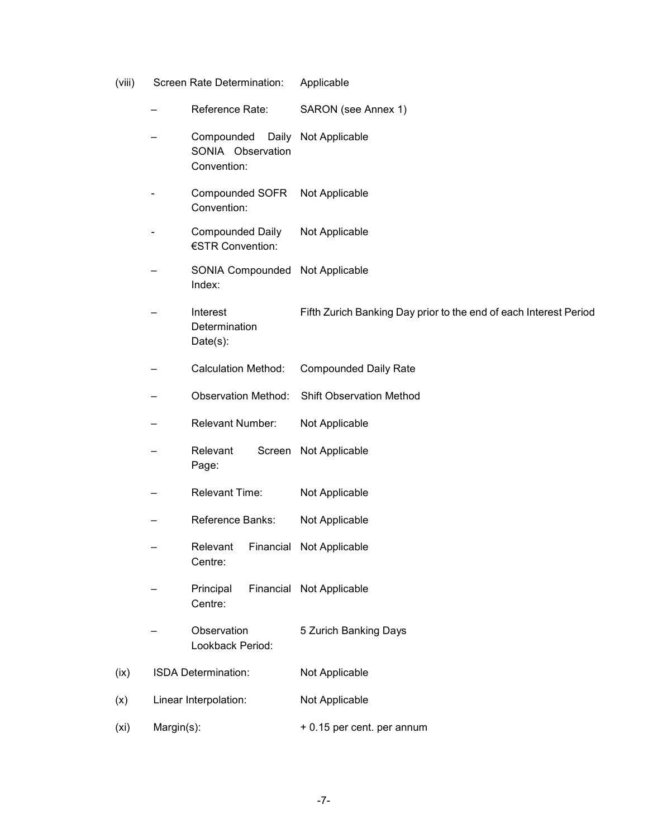- (viii) Screen Rate Determination: Applicable
- Reference Rate: SARON (see Annex 1) – Compounded Daily Not Applicable SONIA Observation Convention: Compounded SOFR Convention: Not Applicable Compounded Daily €STR Convention: Not Applicable – SONIA Compounded Not Applicable Index: **Interest Determination** Date(s): Fifth Zurich Banking Day prior to the end of each Interest Period – Calculation Method: Compounded Daily Rate – Observation Method: Shift Observation Method Relevant Number: Not Applicable **Relevant** Page: Screen Not Applicable Relevant Time: Not Applicable Reference Banks: Not Applicable – Relevant Financial Not Applicable Centre: – Principal Financial Not Applicable Centre: **Observation** Lookback Period: 5 Zurich Banking Days (ix) ISDA Determination: Not Applicable (x) Linear Interpolation: Not Applicable  $(xi)$  Margin(s):  $+0.15$  per cent. per annum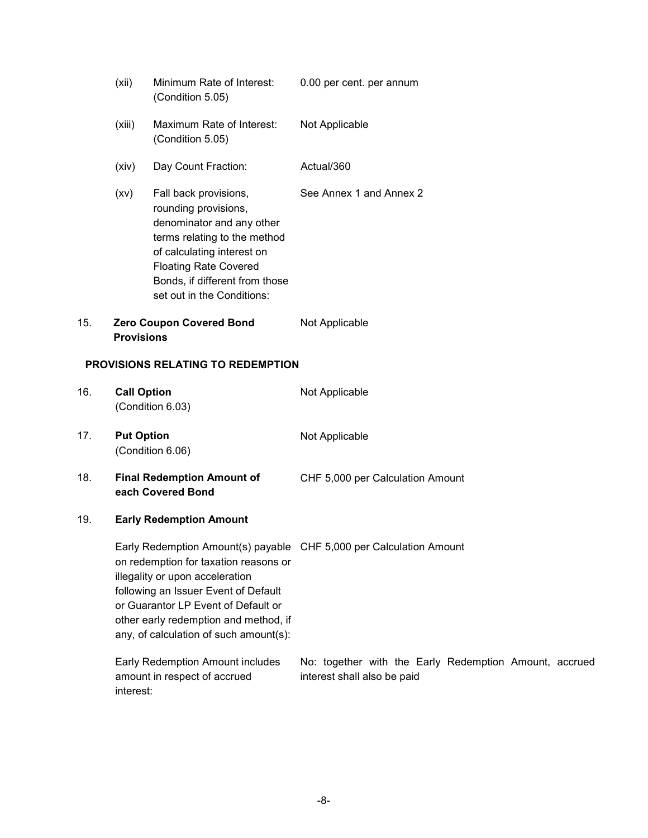|     | (xii)                          | Minimum Rate of Interest:<br>(Condition 5.05)                                                                                                                                                                                              | 0.00 per cent. per annum                                                              |
|-----|--------------------------------|--------------------------------------------------------------------------------------------------------------------------------------------------------------------------------------------------------------------------------------------|---------------------------------------------------------------------------------------|
|     | (xiii)                         | Maximum Rate of Interest:<br>(Condition 5.05)                                                                                                                                                                                              | Not Applicable                                                                        |
|     | (xiv)                          | Day Count Fraction:                                                                                                                                                                                                                        | Actual/360                                                                            |
|     | (xv)                           | Fall back provisions,<br>rounding provisions,<br>denominator and any other<br>terms relating to the method<br>of calculating interest on<br><b>Floating Rate Covered</b><br>Bonds, if different from those<br>set out in the Conditions:   | See Annex 1 and Annex 2                                                               |
| 15. | <b>Provisions</b>              | <b>Zero Coupon Covered Bond</b>                                                                                                                                                                                                            | Not Applicable                                                                        |
|     |                                | <b>PROVISIONS RELATING TO REDEMPTION</b>                                                                                                                                                                                                   |                                                                                       |
| 16. | <b>Call Option</b>             | (Condition 6.03)                                                                                                                                                                                                                           | Not Applicable                                                                        |
| 17. | <b>Put Option</b>              | (Condition 6.06)                                                                                                                                                                                                                           | Not Applicable                                                                        |
| 18. |                                | <b>Final Redemption Amount of</b><br>each Covered Bond                                                                                                                                                                                     | CHF 5,000 per Calculation Amount                                                      |
| 19. | <b>Early Redemption Amount</b> |                                                                                                                                                                                                                                            |                                                                                       |
|     |                                | on redemption for taxation reasons or<br>illegality or upon acceleration<br>following an Issuer Event of Default<br>or Guarantor LP Event of Default or<br>other early redemption and method, if<br>any, of calculation of such amount(s): | Early Redemption Amount(s) payable CHF 5,000 per Calculation Amount                   |
|     |                                | Early Redemption Amount includes<br>amount in respect of accrued                                                                                                                                                                           | No: together with the Early Redemption Amount, accrued<br>interest shall also be paid |

interest: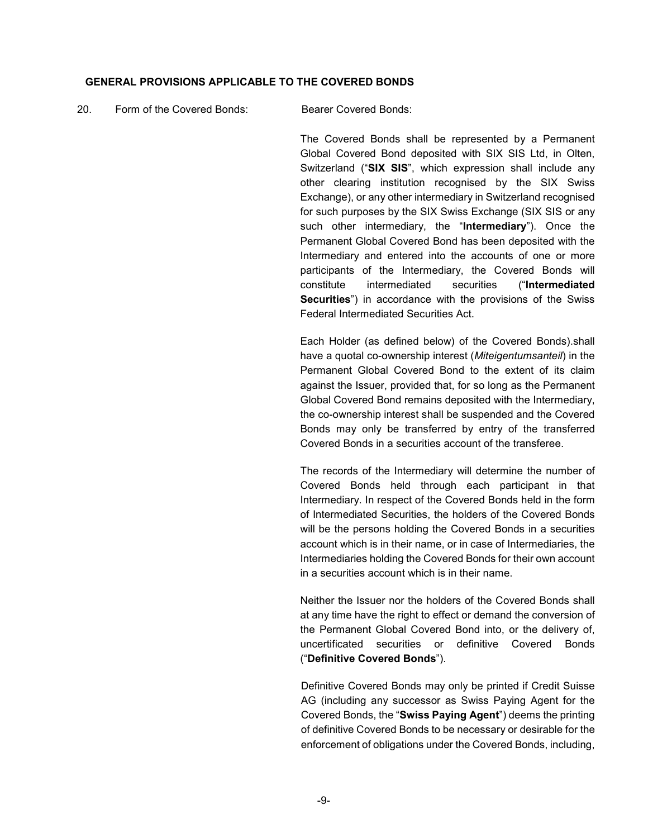#### **GENERAL PROVISIONS APPLICABLE TO THE COVERED BONDS**

#### 20. Form of the Covered Bonds: Bearer Covered Bonds:

The Covered Bonds shall be represented by a Permanent Global Covered Bond deposited with SIX SIS Ltd, in Olten, Switzerland ("**SIX SIS**", which expression shall include any other clearing institution recognised by the SIX Swiss Exchange), or any other intermediary in Switzerland recognised for such purposes by the SIX Swiss Exchange (SIX SIS or any such other intermediary, the "**Intermediary**"). Once the Permanent Global Covered Bond has been deposited with the Intermediary and entered into the accounts of one or more participants of the Intermediary, the Covered Bonds will constitute intermediated securities ("**Intermediated Securities**") in accordance with the provisions of the Swiss Federal Intermediated Securities Act.

Each Holder (as defined below) of the Covered Bonds).shall have a quotal co-ownership interest (*Miteigentumsanteil*) in the Permanent Global Covered Bond to the extent of its claim against the Issuer, provided that, for so long as the Permanent Global Covered Bond remains deposited with the Intermediary, the co-ownership interest shall be suspended and the Covered Bonds may only be transferred by entry of the transferred Covered Bonds in a securities account of the transferee.

The records of the Intermediary will determine the number of Covered Bonds held through each participant in that Intermediary. In respect of the Covered Bonds held in the form of Intermediated Securities, the holders of the Covered Bonds will be the persons holding the Covered Bonds in a securities account which is in their name, or in case of Intermediaries, the Intermediaries holding the Covered Bonds for their own account in a securities account which is in their name.

Neither the Issuer nor the holders of the Covered Bonds shall at any time have the right to effect or demand the conversion of the Permanent Global Covered Bond into, or the delivery of, uncertificated securities or definitive Covered Bonds ("**Definitive Covered Bonds**").

Definitive Covered Bonds may only be printed if Credit Suisse AG (including any successor as Swiss Paying Agent for the Covered Bonds, the "**Swiss Paying Agent**") deems the printing of definitive Covered Bonds to be necessary or desirable for the enforcement of obligations under the Covered Bonds, including,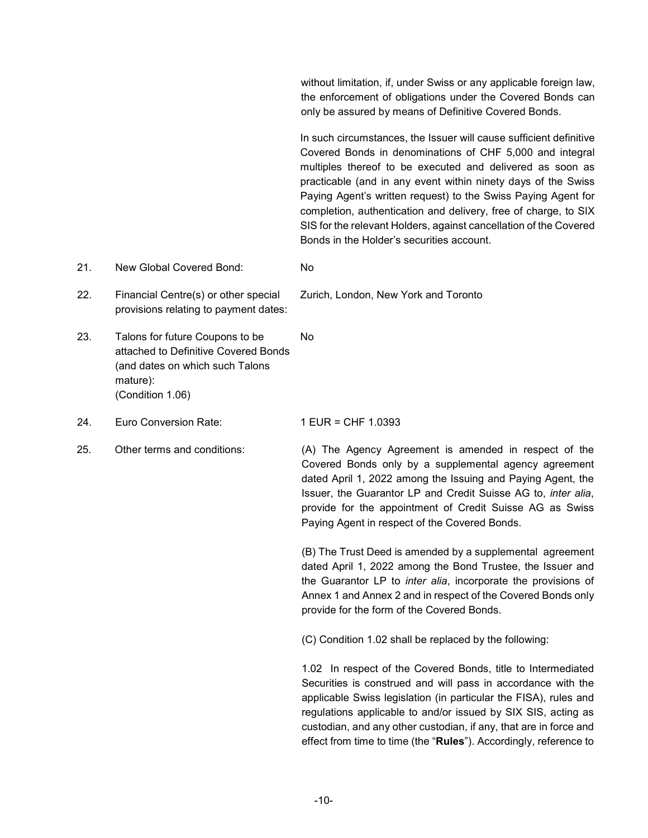without limitation, if, under Swiss or any applicable foreign law, the enforcement of obligations under the Covered Bonds can only be assured by means of Definitive Covered Bonds.

 In such circumstances, the Issuer will cause sufficient definitive Covered Bonds in denominations of CHF 5,000 and integral multiples thereof to be executed and delivered as soon as practicable (and in any event within ninety days of the Swiss Paying Agent's written request) to the Swiss Paying Agent for completion, authentication and delivery, free of charge, to SIX SIS for the relevant Holders, against cancellation of the Covered Bonds in the Holder's securities account.

- 21. New Global Covered Bond: No
- 22. Financial Centre(s) or other special provisions relating to payment dates:
- 23. Talons for future Coupons to be attached to Definitive Covered Bonds (and dates on which such Talons mature): (Condition 1.06) No
- 24. Euro Conversion Rate: 1 EUR = CHF 1.0393
- 

Zurich, London, New York and Toronto

25. Other terms and conditions: (A) The Agency Agreement is amended in respect of the Covered Bonds only by a supplemental agency agreement dated April 1, 2022 among the Issuing and Paying Agent, the Issuer, the Guarantor LP and Credit Suisse AG to, *inter alia*, provide for the appointment of Credit Suisse AG as Swiss Paying Agent in respect of the Covered Bonds.

> (B) The Trust Deed is amended by a supplemental agreement dated April 1, 2022 among the Bond Trustee, the Issuer and the Guarantor LP to *inter alia*, incorporate the provisions of Annex 1 and Annex 2 and in respect of the Covered Bonds only provide for the form of the Covered Bonds.

(C) Condition 1.02 shall be replaced by the following:

1.02 In respect of the Covered Bonds, title to Intermediated Securities is construed and will pass in accordance with the applicable Swiss legislation (in particular the FISA), rules and regulations applicable to and/or issued by SIX SIS, acting as custodian, and any other custodian, if any, that are in force and effect from time to time (the "**Rules**"). Accordingly, reference to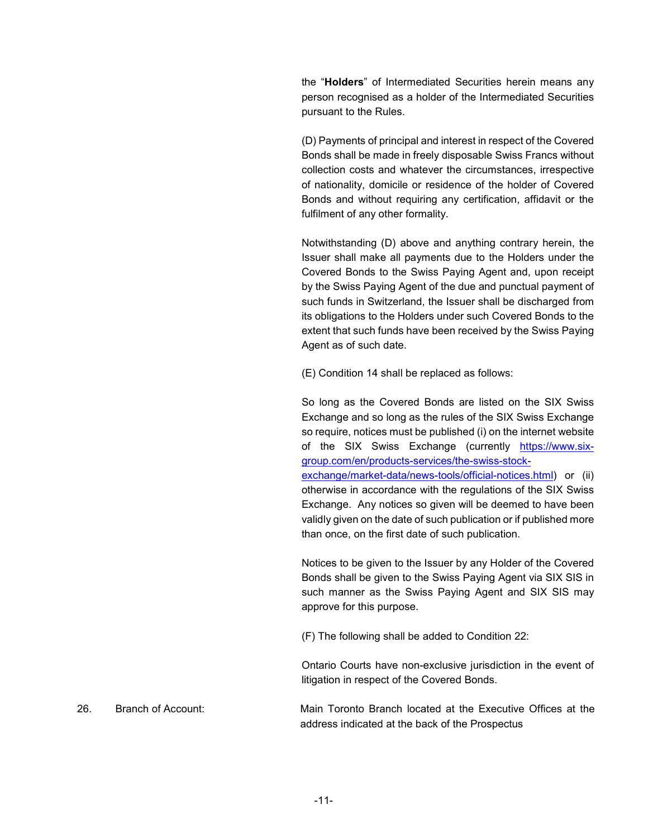the "**Holders**" of Intermediated Securities herein means any person recognised as a holder of the Intermediated Securities pursuant to the Rules.

(D) Payments of principal and interest in respect of the Covered Bonds shall be made in freely disposable Swiss Francs without collection costs and whatever the circumstances, irrespective of nationality, domicile or residence of the holder of Covered Bonds and without requiring any certification, affidavit or the fulfilment of any other formality.

Notwithstanding (D) above and anything contrary herein, the Issuer shall make all payments due to the Holders under the Covered Bonds to the Swiss Paying Agent and, upon receipt by the Swiss Paying Agent of the due and punctual payment of such funds in Switzerland, the Issuer shall be discharged from its obligations to the Holders under such Covered Bonds to the extent that such funds have been received by the Swiss Paying Agent as of such date.

(E) Condition 14 shall be replaced as follows:

So long as the Covered Bonds are listed on the SIX Swiss Exchange and so long as the rules of the SIX Swiss Exchange so require, notices must be published (i) on the internet website of the SIX Swiss Exchange (currently https://www.sixgroup.com/en/products-services/the-swiss-stockexchange/market-data/news-tools/official-notices.html) or (ii) otherwise in accordance with the regulations of the SIX Swiss Exchange. Any notices so given will be deemed to have been validly given on the date of such publication or if published more than once, on the first date of such publication.

Notices to be given to the Issuer by any Holder of the Covered Bonds shall be given to the Swiss Paying Agent via SIX SIS in such manner as the Swiss Paying Agent and SIX SIS may approve for this purpose.

(F) The following shall be added to Condition 22:

Ontario Courts have non-exclusive jurisdiction in the event of litigation in respect of the Covered Bonds.

26. Branch of Account: Main Toronto Branch located at the Executive Offices at the address indicated at the back of the Prospectus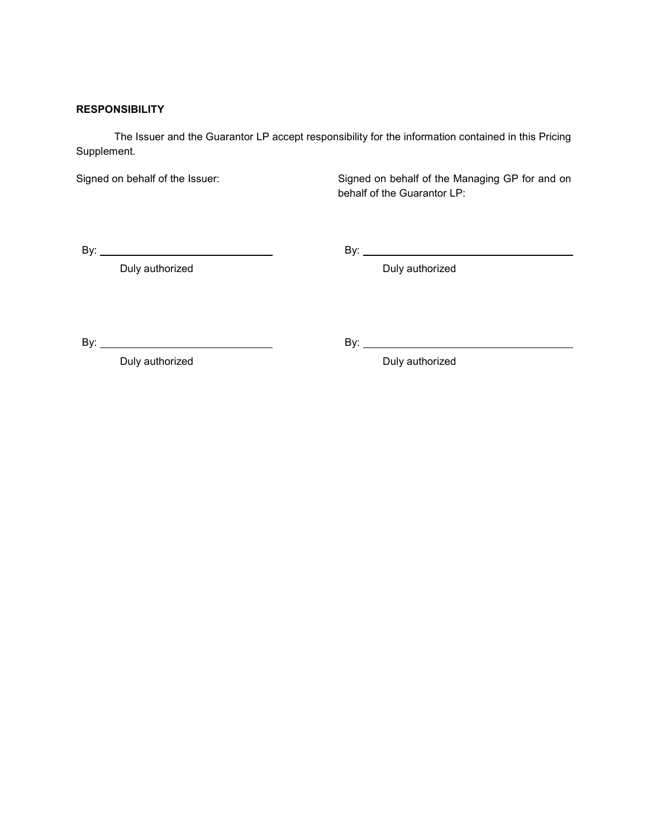# **RESPONSIBILITY**

The Issuer and the Guarantor LP accept responsibility for the information contained in this Pricing Supplement.

Signed on behalf of the Issuer: Signed on behalf of the Managing GP for and on behalf of the Guarantor LP:

By: By:

Duly authorized **Duly authorized Duly authorized** 

By: By:

Duly authorized **Duly authorized Duly authorized**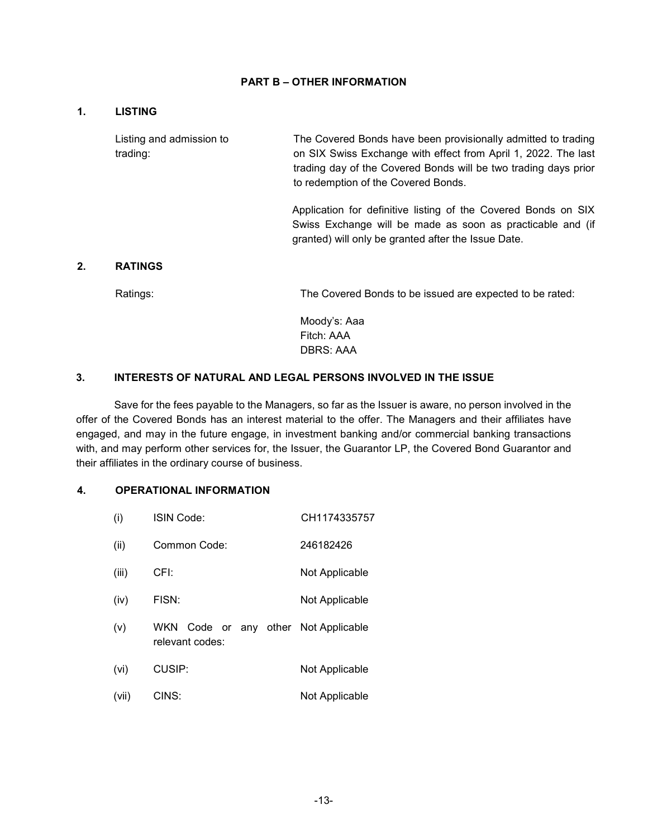#### **PART B – OTHER INFORMATION**

## **1. LISTING**

Listing and admission to trading:

The Covered Bonds have been provisionally admitted to trading on SIX Swiss Exchange with effect from April 1, 2022. The last trading day of the Covered Bonds will be two trading days prior to redemption of the Covered Bonds.

Application for definitive listing of the Covered Bonds on SIX Swiss Exchange will be made as soon as practicable and (if granted) will only be granted after the Issue Date.

#### **2. RATINGS**

Ratings: The Covered Bonds to be issued are expected to be rated:

Moody's: Aaa Fitch: AAA DBRS: AAA

#### **3. INTERESTS OF NATURAL AND LEGAL PERSONS INVOLVED IN THE ISSUE**

Save for the fees payable to the Managers, so far as the Issuer is aware, no person involved in the offer of the Covered Bonds has an interest material to the offer. The Managers and their affiliates have engaged, and may in the future engage, in investment banking and/or commercial banking transactions with, and may perform other services for, the Issuer, the Guarantor LP, the Covered Bond Guarantor and their affiliates in the ordinary course of business.

#### **4. OPERATIONAL INFORMATION**

| (i)   | ISIN Code:                               | CH1174335757   |
|-------|------------------------------------------|----------------|
| (ii)  | Common Code:                             | 246182426      |
| (iii) | CFI:                                     | Not Applicable |
| (iv)  | FISN:                                    | Not Applicable |
| (v)   | WKN Code or any other<br>relevant codes: | Not Applicable |
| (vi)  | CUSIP:                                   | Not Applicable |
| (vii) | CINS:                                    | Not Applicable |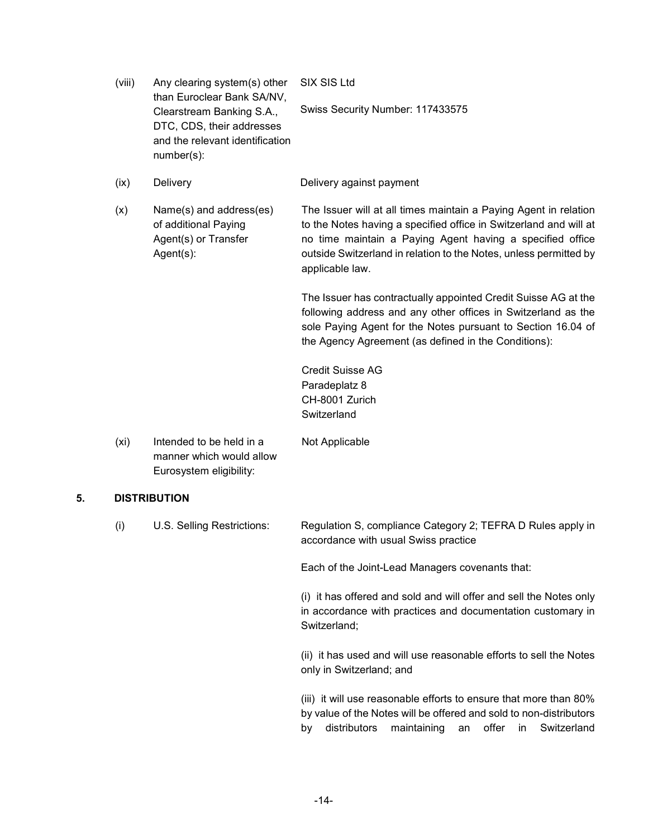| (viii) | Any clearing system(s) other<br>than Euroclear Bank SA/NV,                                                 | SIX SIS Ltd                                                                                                                                                                                                                                                                                |
|--------|------------------------------------------------------------------------------------------------------------|--------------------------------------------------------------------------------------------------------------------------------------------------------------------------------------------------------------------------------------------------------------------------------------------|
|        | Clearstream Banking S.A.,<br>DTC, CDS, their addresses<br>and the relevant identification<br>$number(s)$ : | Swiss Security Number: 117433575                                                                                                                                                                                                                                                           |
| (ix)   | Delivery                                                                                                   | Delivery against payment                                                                                                                                                                                                                                                                   |
| (x)    | Name(s) and address(es)<br>of additional Paying<br>Agent(s) or Transfer<br>$Agent(s)$ :                    | The Issuer will at all times maintain a Paying Agent in relation<br>to the Notes having a specified office in Switzerland and will at<br>no time maintain a Paying Agent having a specified office<br>outside Switzerland in relation to the Notes, unless permitted by<br>applicable law. |
|        |                                                                                                            | The Issuer has contractually appointed Credit Suisse AG at the<br>following address and any other offices in Switzerland as the<br>sole Paying Agent for the Notes pursuant to Section 16.04 of<br>the Agency Agreement (as defined in the Conditions):                                    |
|        |                                                                                                            | <b>Credit Suisse AG</b><br>Paradeplatz 8<br>CH-8001 Zurich<br>Switzerland                                                                                                                                                                                                                  |
| (xi)   | Intended to be held in a<br>manner which would allow<br>Eurosystem eligibility:                            | Not Applicable                                                                                                                                                                                                                                                                             |

# **5. DISTRIBUTION**

| (i) | U.S. Selling Restrictions: | Regulation S, compliance Category 2; TEFRA D Rules apply in<br>accordance with usual Swiss practice                                                                                                         |
|-----|----------------------------|-------------------------------------------------------------------------------------------------------------------------------------------------------------------------------------------------------------|
|     |                            | Each of the Joint-Lead Managers covenants that:                                                                                                                                                             |
|     |                            | (i) it has offered and sold and will offer and sell the Notes only<br>in accordance with practices and documentation customary in<br>Switzerland;                                                           |
|     |                            | (ii) it has used and will use reasonable efforts to sell the Notes<br>only in Switzerland; and                                                                                                              |
|     |                            | (iii) it will use reasonable efforts to ensure that more than 80%<br>by value of the Notes will be offered and sold to non-distributors<br>maintaining an offer<br>distributors<br>Switzerland<br>in.<br>by |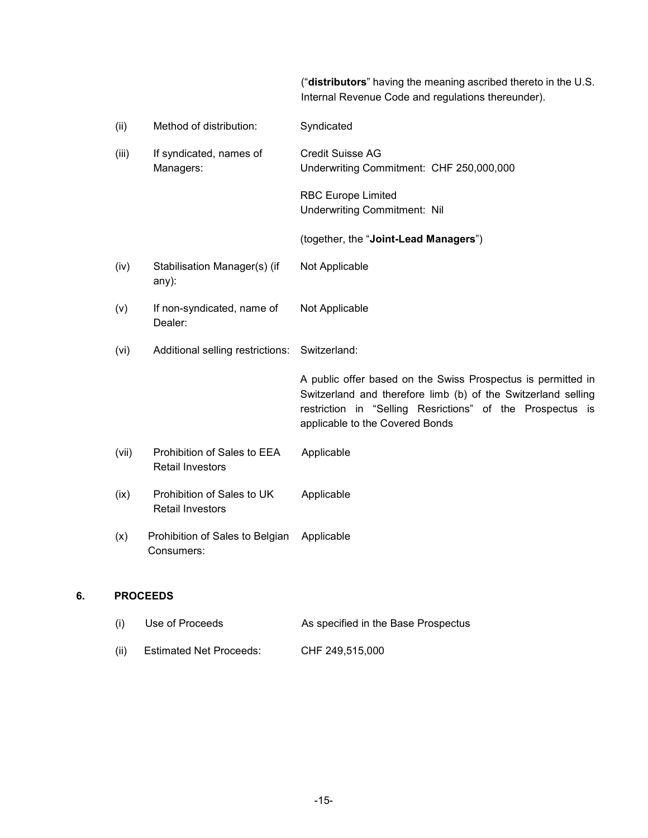("**distributors**" having the meaning ascribed thereto in the U.S. Internal Revenue Code and regulations thereunder).

| (ii)  | Method of distribution:                                | Syndicated                                                                                                                                                                                                                    |
|-------|--------------------------------------------------------|-------------------------------------------------------------------------------------------------------------------------------------------------------------------------------------------------------------------------------|
| (iii) | If syndicated, names of<br>Managers:                   | <b>Credit Suisse AG</b><br>Underwriting Commitment: CHF 250,000,000                                                                                                                                                           |
|       |                                                        | <b>RBC Europe Limited</b><br><b>Underwriting Commitment: Nil</b>                                                                                                                                                              |
|       |                                                        | (together, the "Joint-Lead Managers")                                                                                                                                                                                         |
| (iv)  | Stabilisation Manager(s) (if<br>any):                  | Not Applicable                                                                                                                                                                                                                |
| (v)   | If non-syndicated, name of<br>Dealer:                  | Not Applicable                                                                                                                                                                                                                |
| (vi)  | Additional selling restrictions:                       | Switzerland:                                                                                                                                                                                                                  |
|       |                                                        | A public offer based on the Swiss Prospectus is permitted in<br>Switzerland and therefore limb (b) of the Switzerland selling<br>restriction in "Selling Resrictions" of the Prospectus is<br>applicable to the Covered Bonds |
| (vii) | Prohibition of Sales to EEA<br><b>Retail Investors</b> | Applicable                                                                                                                                                                                                                    |
| (ix)  | Prohibition of Sales to UK<br><b>Retail Investors</b>  | Applicable                                                                                                                                                                                                                    |
| (x)   | Prohibition of Sales to Belgian<br>Consumers:          | Applicable                                                                                                                                                                                                                    |
|       | <b>PROCEEDS</b>                                        |                                                                                                                                                                                                                               |

# **6. PROCEEDS**

| (i)  | Use of Proceeds                | As specified in the Base Prospectus |
|------|--------------------------------|-------------------------------------|
| (ii) | <b>Estimated Net Proceeds:</b> | CHF 249.515.000                     |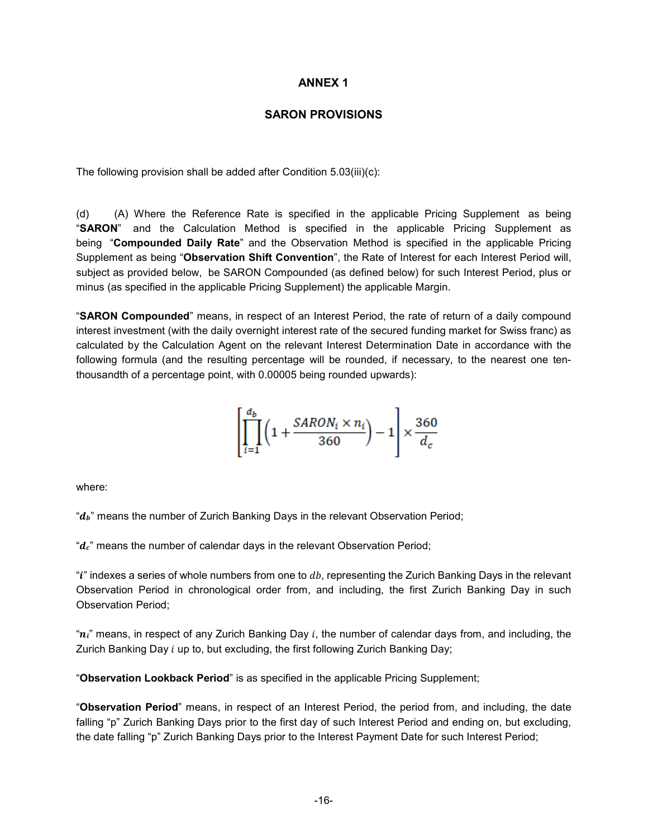# **ANNEX 1**

# **SARON PROVISIONS**

The following provision shall be added after Condition 5.03(iii)(c):

(d) (A) Where the Reference Rate is specified in the applicable Pricing Supplement as being "**SARON**" and the Calculation Method is specified in the applicable Pricing Supplement as being "**Compounded Daily Rate**" and the Observation Method is specified in the applicable Pricing Supplement as being "**Observation Shift Convention**", the Rate of Interest for each Interest Period will, subject as provided below, be SARON Compounded (as defined below) for such Interest Period, plus or minus (as specified in the applicable Pricing Supplement) the applicable Margin.

"**SARON Compounded**" means, in respect of an Interest Period, the rate of return of a daily compound interest investment (with the daily overnight interest rate of the secured funding market for Swiss franc) as calculated by the Calculation Agent on the relevant Interest Determination Date in accordance with the following formula (and the resulting percentage will be rounded, if necessary, to the nearest one tenthousandth of a percentage point, with 0.00005 being rounded upwards):

$$
\left[\prod_{i=1}^{d_b} \left(1 + \frac{SARON_i \times n_i}{360}\right) - 1\right] \times \frac{360}{d_c}
$$

where:

" $d_b$ " means the number of Zurich Banking Days in the relevant Observation Period;

" $d_c$ " means the number of calendar days in the relevant Observation Period;

" $i$ " indexes a series of whole numbers from one to  $db$ , representing the Zurich Banking Days in the relevant Observation Period in chronological order from, and including, the first Zurich Banking Day in such Observation Period;

" $n_i$ " means, in respect of any Zurich Banking Day i, the number of calendar days from, and including, the Zurich Banking Day  $i$  up to, but excluding, the first following Zurich Banking Day;

"**Observation Lookback Period**" is as specified in the applicable Pricing Supplement;

"**Observation Period**" means, in respect of an Interest Period, the period from, and including, the date falling "p" Zurich Banking Days prior to the first day of such Interest Period and ending on, but excluding, the date falling "p" Zurich Banking Days prior to the Interest Payment Date for such Interest Period;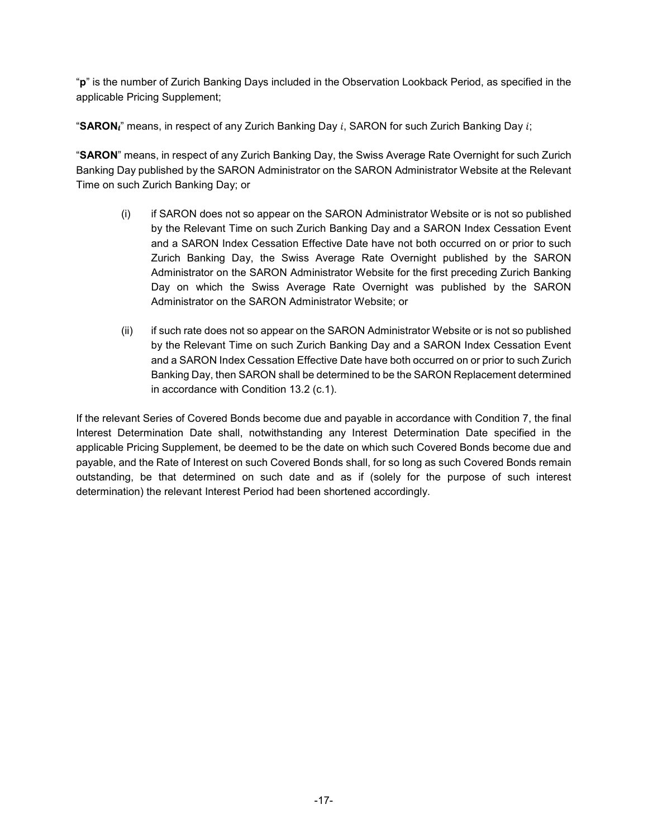"**p**" is the number of Zurich Banking Days included in the Observation Lookback Period, as specified in the applicable Pricing Supplement;

"SARON<sub>I</sub>" means, in respect of any Zurich Banking Day i, SARON for such Zurich Banking Day i;

"**SARON**" means, in respect of any Zurich Banking Day, the Swiss Average Rate Overnight for such Zurich Banking Day published by the SARON Administrator on the SARON Administrator Website at the Relevant Time on such Zurich Banking Day; or

- (i) if SARON does not so appear on the SARON Administrator Website or is not so published by the Relevant Time on such Zurich Banking Day and a SARON Index Cessation Event and a SARON Index Cessation Effective Date have not both occurred on or prior to such Zurich Banking Day, the Swiss Average Rate Overnight published by the SARON Administrator on the SARON Administrator Website for the first preceding Zurich Banking Day on which the Swiss Average Rate Overnight was published by the SARON Administrator on the SARON Administrator Website; or
- (ii) if such rate does not so appear on the SARON Administrator Website or is not so published by the Relevant Time on such Zurich Banking Day and a SARON Index Cessation Event and a SARON Index Cessation Effective Date have both occurred on or prior to such Zurich Banking Day, then SARON shall be determined to be the SARON Replacement determined in accordance with Condition 13.2 (c.1).

If the relevant Series of Covered Bonds become due and payable in accordance with Condition 7, the final Interest Determination Date shall, notwithstanding any Interest Determination Date specified in the applicable Pricing Supplement, be deemed to be the date on which such Covered Bonds become due and payable, and the Rate of Interest on such Covered Bonds shall, for so long as such Covered Bonds remain outstanding, be that determined on such date and as if (solely for the purpose of such interest determination) the relevant Interest Period had been shortened accordingly.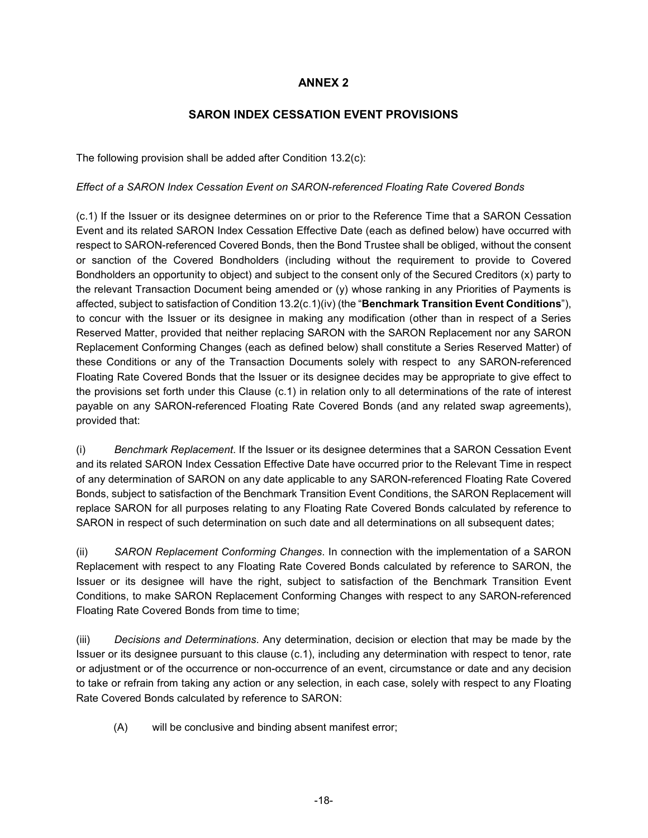# **ANNEX 2**

# **SARON INDEX CESSATION EVENT PROVISIONS**

The following provision shall be added after Condition 13.2(c):

## *Effect of a SARON Index Cessation Event on SARON-referenced Floating Rate Covered Bonds*

(c.1) If the Issuer or its designee determines on or prior to the Reference Time that a SARON Cessation Event and its related SARON Index Cessation Effective Date (each as defined below) have occurred with respect to SARON-referenced Covered Bonds, then the Bond Trustee shall be obliged, without the consent or sanction of the Covered Bondholders (including without the requirement to provide to Covered Bondholders an opportunity to object) and subject to the consent only of the Secured Creditors (x) party to the relevant Transaction Document being amended or (y) whose ranking in any Priorities of Payments is affected, subject to satisfaction of Condition 13.2(c.1)(iv) (the "**Benchmark Transition Event Conditions**"), to concur with the Issuer or its designee in making any modification (other than in respect of a Series Reserved Matter, provided that neither replacing SARON with the SARON Replacement nor any SARON Replacement Conforming Changes (each as defined below) shall constitute a Series Reserved Matter) of these Conditions or any of the Transaction Documents solely with respect to any SARON-referenced Floating Rate Covered Bonds that the Issuer or its designee decides may be appropriate to give effect to the provisions set forth under this Clause (c.1) in relation only to all determinations of the rate of interest payable on any SARON-referenced Floating Rate Covered Bonds (and any related swap agreements), provided that:

(i) *Benchmark Replacement*. If the Issuer or its designee determines that a SARON Cessation Event and its related SARON Index Cessation Effective Date have occurred prior to the Relevant Time in respect of any determination of SARON on any date applicable to any SARON-referenced Floating Rate Covered Bonds, subject to satisfaction of the Benchmark Transition Event Conditions, the SARON Replacement will replace SARON for all purposes relating to any Floating Rate Covered Bonds calculated by reference to SARON in respect of such determination on such date and all determinations on all subsequent dates;

(ii) *SARON Replacement Conforming Changes*. In connection with the implementation of a SARON Replacement with respect to any Floating Rate Covered Bonds calculated by reference to SARON, the Issuer or its designee will have the right, subject to satisfaction of the Benchmark Transition Event Conditions, to make SARON Replacement Conforming Changes with respect to any SARON-referenced Floating Rate Covered Bonds from time to time;

(iii) *Decisions and Determinations*. Any determination, decision or election that may be made by the Issuer or its designee pursuant to this clause (c.1), including any determination with respect to tenor, rate or adjustment or of the occurrence or non-occurrence of an event, circumstance or date and any decision to take or refrain from taking any action or any selection, in each case, solely with respect to any Floating Rate Covered Bonds calculated by reference to SARON:

(A) will be conclusive and binding absent manifest error;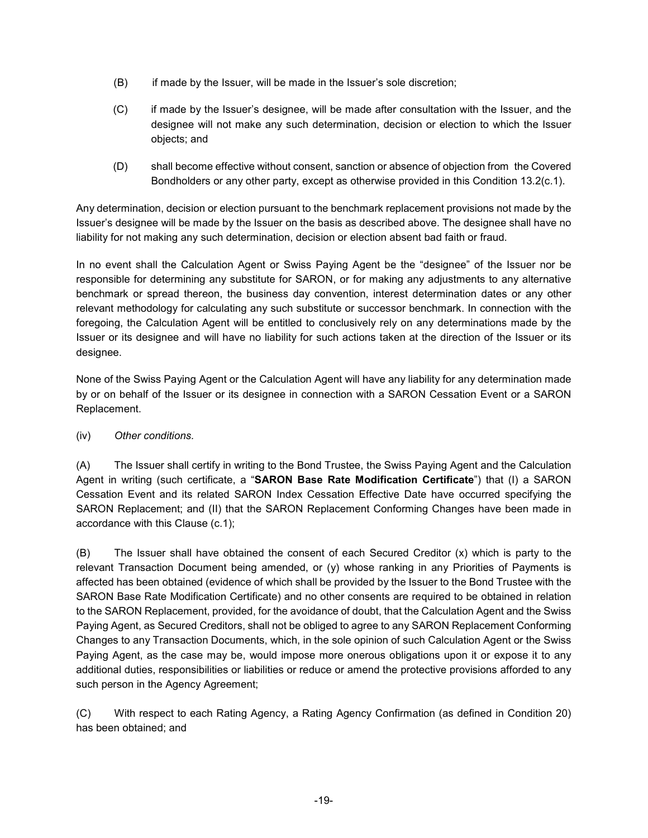- (B) if made by the Issuer, will be made in the Issuer's sole discretion;
- (C) if made by the Issuer's designee, will be made after consultation with the Issuer, and the designee will not make any such determination, decision or election to which the Issuer objects; and
- (D) shall become effective without consent, sanction or absence of objection from the Covered Bondholders or any other party, except as otherwise provided in this Condition 13.2(c.1).

Any determination, decision or election pursuant to the benchmark replacement provisions not made by the Issuer's designee will be made by the Issuer on the basis as described above. The designee shall have no liability for not making any such determination, decision or election absent bad faith or fraud.

In no event shall the Calculation Agent or Swiss Paying Agent be the "designee" of the Issuer nor be responsible for determining any substitute for SARON, or for making any adjustments to any alternative benchmark or spread thereon, the business day convention, interest determination dates or any other relevant methodology for calculating any such substitute or successor benchmark. In connection with the foregoing, the Calculation Agent will be entitled to conclusively rely on any determinations made by the Issuer or its designee and will have no liability for such actions taken at the direction of the Issuer or its designee.

None of the Swiss Paying Agent or the Calculation Agent will have any liability for any determination made by or on behalf of the Issuer or its designee in connection with a SARON Cessation Event or a SARON Replacement.

(iv) *Other conditions.* 

(A) The Issuer shall certify in writing to the Bond Trustee, the Swiss Paying Agent and the Calculation Agent in writing (such certificate, a "**SARON Base Rate Modification Certificate**") that (I) a SARON Cessation Event and its related SARON Index Cessation Effective Date have occurred specifying the SARON Replacement; and (II) that the SARON Replacement Conforming Changes have been made in accordance with this Clause (c.1);

(B) The Issuer shall have obtained the consent of each Secured Creditor (x) which is party to the relevant Transaction Document being amended, or (y) whose ranking in any Priorities of Payments is affected has been obtained (evidence of which shall be provided by the Issuer to the Bond Trustee with the SARON Base Rate Modification Certificate) and no other consents are required to be obtained in relation to the SARON Replacement, provided, for the avoidance of doubt, that the Calculation Agent and the Swiss Paying Agent, as Secured Creditors, shall not be obliged to agree to any SARON Replacement Conforming Changes to any Transaction Documents, which, in the sole opinion of such Calculation Agent or the Swiss Paying Agent, as the case may be, would impose more onerous obligations upon it or expose it to any additional duties, responsibilities or liabilities or reduce or amend the protective provisions afforded to any such person in the Agency Agreement;

(C) With respect to each Rating Agency, a Rating Agency Confirmation (as defined in Condition 20) has been obtained; and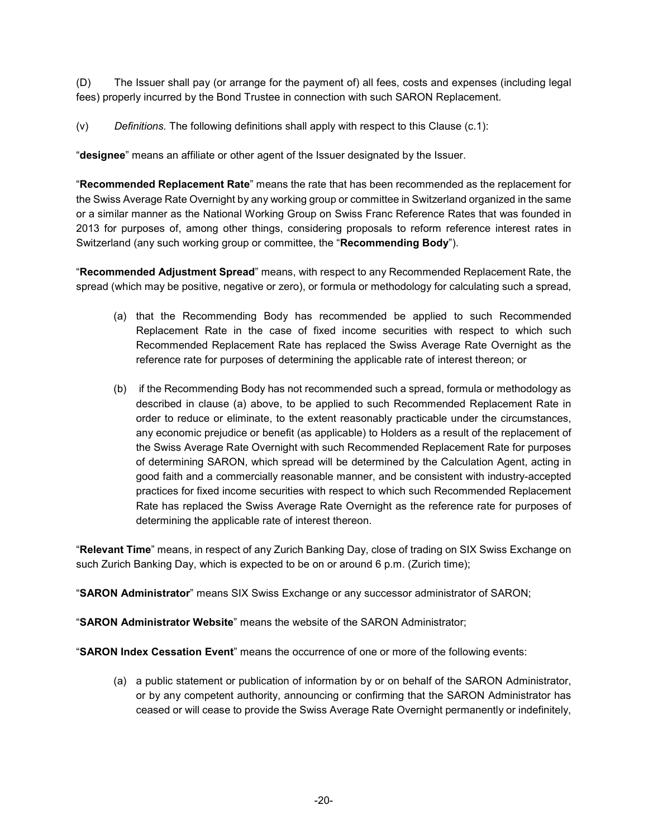(D) The Issuer shall pay (or arrange for the payment of) all fees, costs and expenses (including legal fees) properly incurred by the Bond Trustee in connection with such SARON Replacement.

(v) *Definitions.* The following definitions shall apply with respect to this Clause (c.1):

"**designee**" means an affiliate or other agent of the Issuer designated by the Issuer.

"**Recommended Replacement Rate**" means the rate that has been recommended as the replacement for the Swiss Average Rate Overnight by any working group or committee in Switzerland organized in the same or a similar manner as the National Working Group on Swiss Franc Reference Rates that was founded in 2013 for purposes of, among other things, considering proposals to reform reference interest rates in Switzerland (any such working group or committee, the "**Recommending Body**").

"**Recommended Adjustment Spread**" means, with respect to any Recommended Replacement Rate, the spread (which may be positive, negative or zero), or formula or methodology for calculating such a spread,

- (a) that the Recommending Body has recommended be applied to such Recommended Replacement Rate in the case of fixed income securities with respect to which such Recommended Replacement Rate has replaced the Swiss Average Rate Overnight as the reference rate for purposes of determining the applicable rate of interest thereon; or
- (b) if the Recommending Body has not recommended such a spread, formula or methodology as described in clause (a) above, to be applied to such Recommended Replacement Rate in order to reduce or eliminate, to the extent reasonably practicable under the circumstances, any economic prejudice or benefit (as applicable) to Holders as a result of the replacement of the Swiss Average Rate Overnight with such Recommended Replacement Rate for purposes of determining SARON, which spread will be determined by the Calculation Agent, acting in good faith and a commercially reasonable manner, and be consistent with industry-accepted practices for fixed income securities with respect to which such Recommended Replacement Rate has replaced the Swiss Average Rate Overnight as the reference rate for purposes of determining the applicable rate of interest thereon.

"**Relevant Time**" means, in respect of any Zurich Banking Day, close of trading on SIX Swiss Exchange on such Zurich Banking Day, which is expected to be on or around 6 p.m. (Zurich time);

"**SARON Administrator**" means SIX Swiss Exchange or any successor administrator of SARON;

"**SARON Administrator Website**" means the website of the SARON Administrator;

"**SARON Index Cessation Event**" means the occurrence of one or more of the following events:

(a) a public statement or publication of information by or on behalf of the SARON Administrator, or by any competent authority, announcing or confirming that the SARON Administrator has ceased or will cease to provide the Swiss Average Rate Overnight permanently or indefinitely,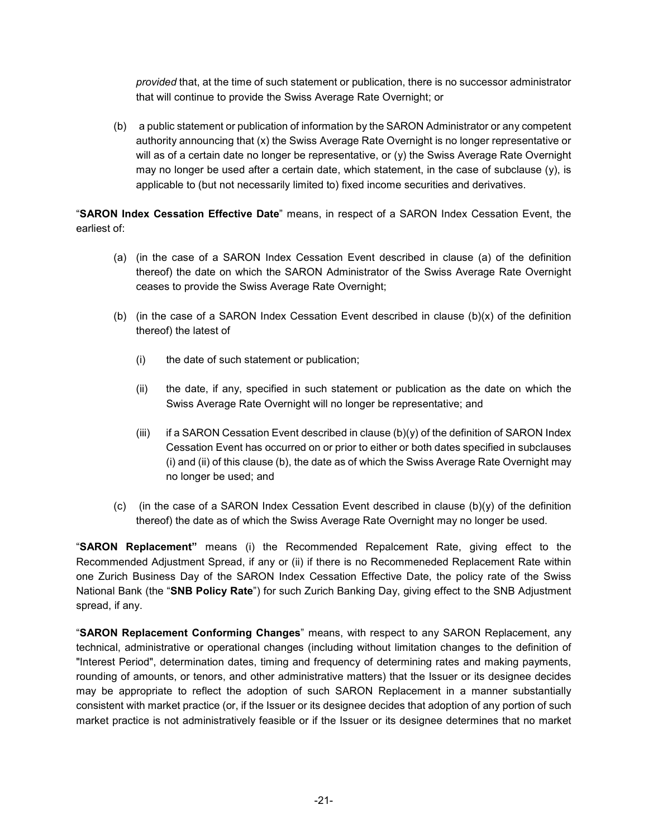*provided* that, at the time of such statement or publication, there is no successor administrator that will continue to provide the Swiss Average Rate Overnight; or

(b) a public statement or publication of information by the SARON Administrator or any competent authority announcing that (x) the Swiss Average Rate Overnight is no longer representative or will as of a certain date no longer be representative, or (y) the Swiss Average Rate Overnight may no longer be used after a certain date, which statement, in the case of subclause (y), is applicable to (but not necessarily limited to) fixed income securities and derivatives.

"**SARON Index Cessation Effective Date**" means, in respect of a SARON Index Cessation Event, the earliest of:

- (a) (in the case of a SARON Index Cessation Event described in clause (a) of the definition thereof) the date on which the SARON Administrator of the Swiss Average Rate Overnight ceases to provide the Swiss Average Rate Overnight;
- (b) (in the case of a SARON Index Cessation Event described in clause  $(b)(x)$  of the definition thereof) the latest of
	- (i) the date of such statement or publication;
	- (ii) the date, if any, specified in such statement or publication as the date on which the Swiss Average Rate Overnight will no longer be representative; and
	- (iii) if a SARON Cessation Event described in clause  $(b)(y)$  of the definition of SARON Index Cessation Event has occurred on or prior to either or both dates specified in subclauses (i) and (ii) of this clause (b), the date as of which the Swiss Average Rate Overnight may no longer be used; and
- (c) (in the case of a SARON Index Cessation Event described in clause  $(b)(y)$  of the definition thereof) the date as of which the Swiss Average Rate Overnight may no longer be used.

"**SARON Replacement"** means (i) the Recommended Repalcement Rate, giving effect to the Recommended Adjustment Spread, if any or (ii) if there is no Recommeneded Replacement Rate within one Zurich Business Day of the SARON Index Cessation Effective Date, the policy rate of the Swiss National Bank (the "**SNB Policy Rate**") for such Zurich Banking Day, giving effect to the SNB Adjustment spread, if any.

"**SARON Replacement Conforming Changes**" means, with respect to any SARON Replacement, any technical, administrative or operational changes (including without limitation changes to the definition of "Interest Period", determination dates, timing and frequency of determining rates and making payments, rounding of amounts, or tenors, and other administrative matters) that the Issuer or its designee decides may be appropriate to reflect the adoption of such SARON Replacement in a manner substantially consistent with market practice (or, if the Issuer or its designee decides that adoption of any portion of such market practice is not administratively feasible or if the Issuer or its designee determines that no market